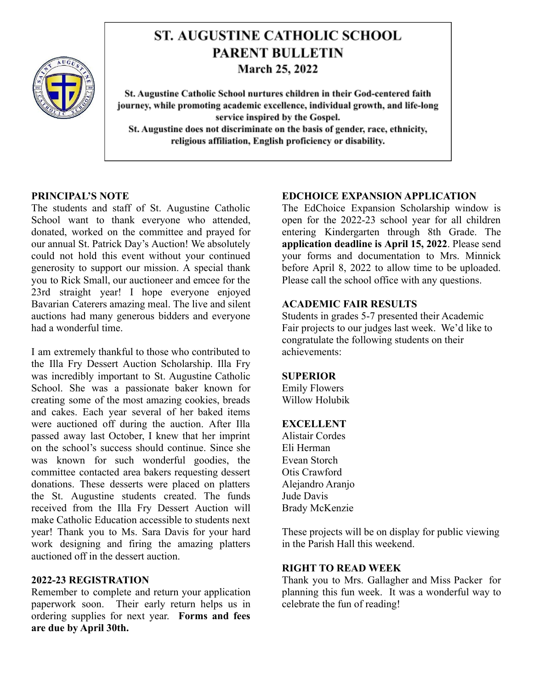

# **ST. AUGUSTINE CATHOLIC SCHOOL PARENT BULLETIN March 25, 2022**

St. Augustine Catholic School nurtures children in their God-centered faith journey, while promoting academic excellence, individual growth, and life-long service inspired by the Gospel. St. Augustine does not discriminate on the basis of gender, race, ethnicity, religious affiliation, English proficiency or disability.

## **PRINCIPAL'S NOTE**

The students and staff of St. Augustine Catholic School want to thank everyone who attended, donated, worked on the committee and prayed for our annual St. Patrick Day's Auction! We absolutely could not hold this event without your continued generosity to support our mission. A special thank you to Rick Small, our auctioneer and emcee for the 23rd straight year! I hope everyone enjoyed Bavarian Caterers amazing meal. The live and silent auctions had many generous bidders and everyone had a wonderful time.

I am extremely thankful to those who contributed to the Illa Fry Dessert Auction Scholarship. Illa Fry was incredibly important to St. Augustine Catholic School. She was a passionate baker known for creating some of the most amazing cookies, breads and cakes. Each year several of her baked items were auctioned off during the auction. After Illa passed away last October, I knew that her imprint on the school's success should continue. Since she was known for such wonderful goodies, the committee contacted area bakers requesting dessert donations. These desserts were placed on platters the St. Augustine students created. The funds received from the Illa Fry Dessert Auction will make Catholic Education accessible to students next year! Thank you to Ms. Sara Davis for your hard work designing and firing the amazing platters auctioned off in the dessert auction.

## **2022-23 REGISTRATION**

Remember to complete and return your application paperwork soon. Their early return helps us in ordering supplies for next year. **Forms and fees are due by April 30th.**

## **EDCHOICE EXPANSION APPLICATION**

The EdChoice Expansion Scholarship window is open for the 2022-23 school year for all children entering Kindergarten through 8th Grade. The **application deadline is April 15, 2022**. Please send your forms and documentation to Mrs. Minnick before April 8, 2022 to allow time to be uploaded. Please call the school office with any questions.

## **ACADEMIC FAIR RESULTS**

Students in grades 5-7 presented their Academic Fair projects to our judges last week. We'd like to congratulate the following students on their achievements:

## **SUPERIOR**

Emily Flowers Willow Holubik

## **EXCELLENT**

Alistair Cordes Eli Herman Evean Storch Otis Crawford Alejandro Aranjo Jude Davis Brady McKenzie

These projects will be on display for public viewing in the Parish Hall this weekend.

# **RIGHT TO READ WEEK**

Thank you to Mrs. Gallagher and Miss Packer for planning this fun week. It was a wonderful way to celebrate the fun of reading!